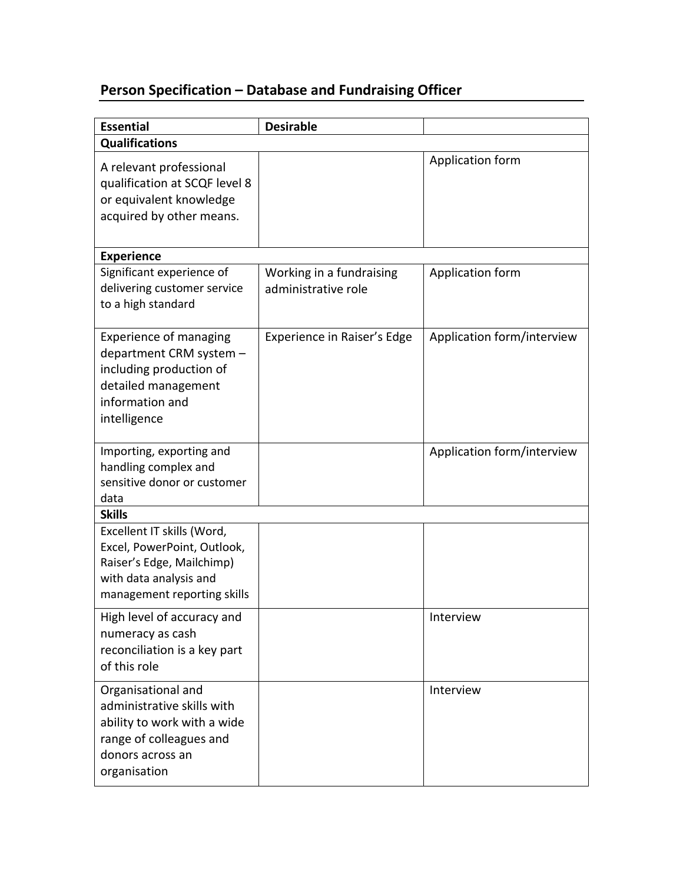## **Person Specification – Database and Fundraising Officer**

| <b>Essential</b>                                                                                                                                | <b>Desirable</b>                                |                            |  |
|-------------------------------------------------------------------------------------------------------------------------------------------------|-------------------------------------------------|----------------------------|--|
| <b>Qualifications</b>                                                                                                                           |                                                 |                            |  |
| A relevant professional<br>qualification at SCQF level 8<br>or equivalent knowledge<br>acquired by other means.                                 |                                                 | Application form           |  |
| <b>Experience</b>                                                                                                                               |                                                 |                            |  |
| Significant experience of<br>delivering customer service<br>to a high standard                                                                  | Working in a fundraising<br>administrative role | Application form           |  |
| <b>Experience of managing</b><br>department CRM system -<br>including production of<br>detailed management<br>information and<br>intelligence   | Experience in Raiser's Edge                     | Application form/interview |  |
| Importing, exporting and<br>handling complex and<br>sensitive donor or customer<br>data                                                         |                                                 | Application form/interview |  |
| <b>Skills</b>                                                                                                                                   |                                                 |                            |  |
| Excellent IT skills (Word,<br>Excel, PowerPoint, Outlook,<br>Raiser's Edge, Mailchimp)<br>with data analysis and<br>management reporting skills |                                                 |                            |  |
| High level of accuracy and<br>numeracy as cash<br>reconciliation is a key part<br>of this role                                                  |                                                 | Interview                  |  |
| Organisational and<br>administrative skills with<br>ability to work with a wide<br>range of colleagues and<br>donors across an<br>organisation  |                                                 | Interview                  |  |